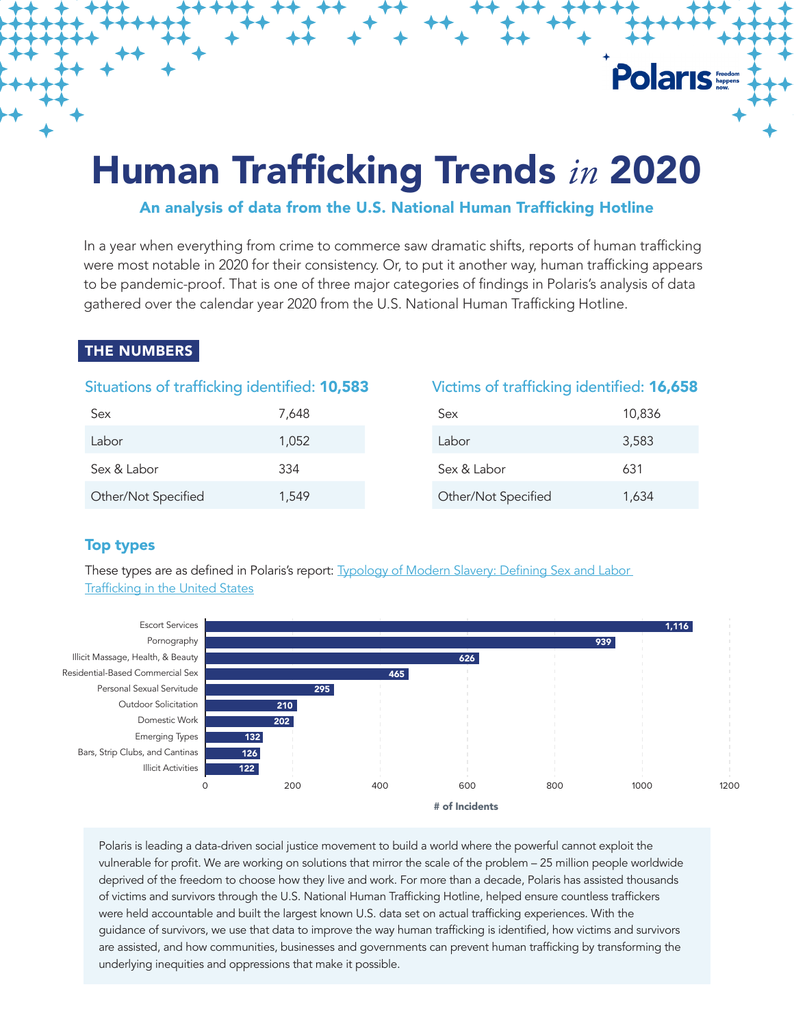# Human Trafficking Trends *in* 2020

# An analysis of data from the U.S. National Human Trafficking Hotline

In a year when everything from crime to commerce saw dramatic shifts, reports of human trafficking were most notable in 2020 for their consistency. Or, to put it another way, human trafficking appears to be pandemic-proof. That is one of three major categories of findings in Polaris's analysis of data gathered over the calendar year 2020 from the U.S. National Human Trafficking Hotline.

# THE NUMBERS

# Situations of trafficking identified: 10,583

| Sex                 | 7,648 |
|---------------------|-------|
| Labor               | 1,052 |
| Sex & Labor         | 334   |
| Other/Not Specified | 1,549 |

#### Victims of trafficking identified: 16,658

**Polaris** 

| Sex                 | 10,836 |
|---------------------|--------|
| I abor              | 3,583  |
| Sex & Labor         | 631    |
| Other/Not Specified | 1,634  |

# Top types

These types are as defined in Polaris's report: **Typology of Modern Slavery: Defining Sex and Labor** [Trafficking in the United States](https://polarisproject.org/the-typology-of-modern-slavery/)



Polaris is leading a data-driven social justice movement to build a world where the powerful cannot exploit the vulnerable for profit. We are working on solutions that mirror the scale of the problem – 25 million people worldwide deprived of the freedom to choose how they live and work. For more than a decade, Polaris has assisted thousands of victims and survivors through the U.S. National Human Trafficking Hotline, helped ensure countless traffickers were held accountable and built the largest known U.S. data set on actual trafficking experiences. With the guidance of survivors, we use that data to improve the way human trafficking is identified, how victims and survivors are assisted, and how communities, businesses and governments can prevent human trafficking by transforming the underlying inequities and oppressions that make it possible.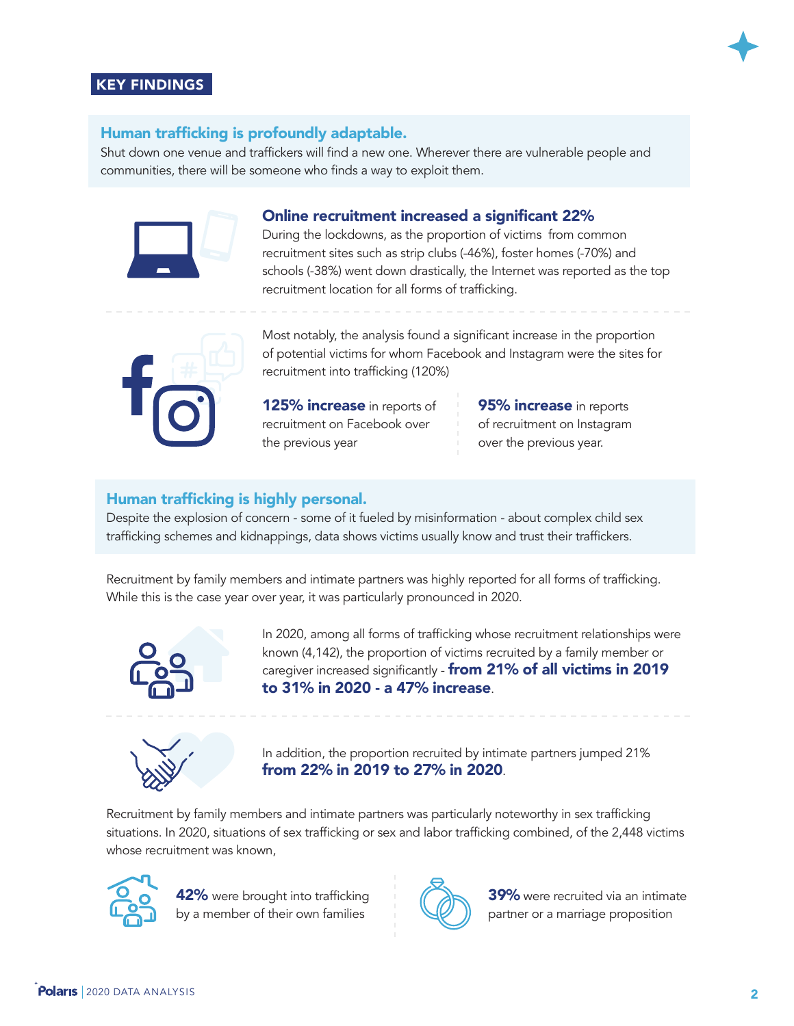

#### Human trafficking is profoundly adaptable.

Shut down one venue and traffickers will find a new one. Wherever there are vulnerable people and communities, there will be someone who finds a way to exploit them.



#### Online recruitment increased a significant 22%

During the lockdowns, as the proportion of victims from common recruitment sites such as strip clubs (-46%), foster homes (-70%) and schools (-38%) went down drastically, the Internet was reported as the top recruitment location for all forms of trafficking.



Most notably, the analysis found a significant increase in the proportion of potential victims for whom Facebook and Instagram were the sites for recruitment into trafficking (120%)

125% increase in reports of recruitment on Facebook over the previous year

95% **increase** in reports of recruitment on Instagram over the previous year.

# Human trafficking is highly personal.

Despite the explosion of concern - some of it fueled by misinformation - about complex child sex trafficking schemes and kidnappings, data shows victims usually know and trust their traffickers.

Recruitment by family members and intimate partners was highly reported for all forms of trafficking. While this is the case year over year, it was particularly pronounced in 2020.



In 2020, among all forms of trafficking whose recruitment relationships were known (4,142), the proportion of victims recruited by a family member or caregiver increased significantly - from 21% of all victims in 2019 to 31% in 2020 - a 47% increase.



In addition, the proportion recruited by intimate partners jumped 21% from 22% in 2019 to 27% in 2020.

Recruitment by family members and intimate partners was particularly noteworthy in sex trafficking situations. In 2020, situations of sex trafficking or sex and labor trafficking combined, of the 2,448 victims whose recruitment was known,



42% were brought into trafficking by a member of their own families



**39%** were recruited via an intimate partner or a marriage proposition